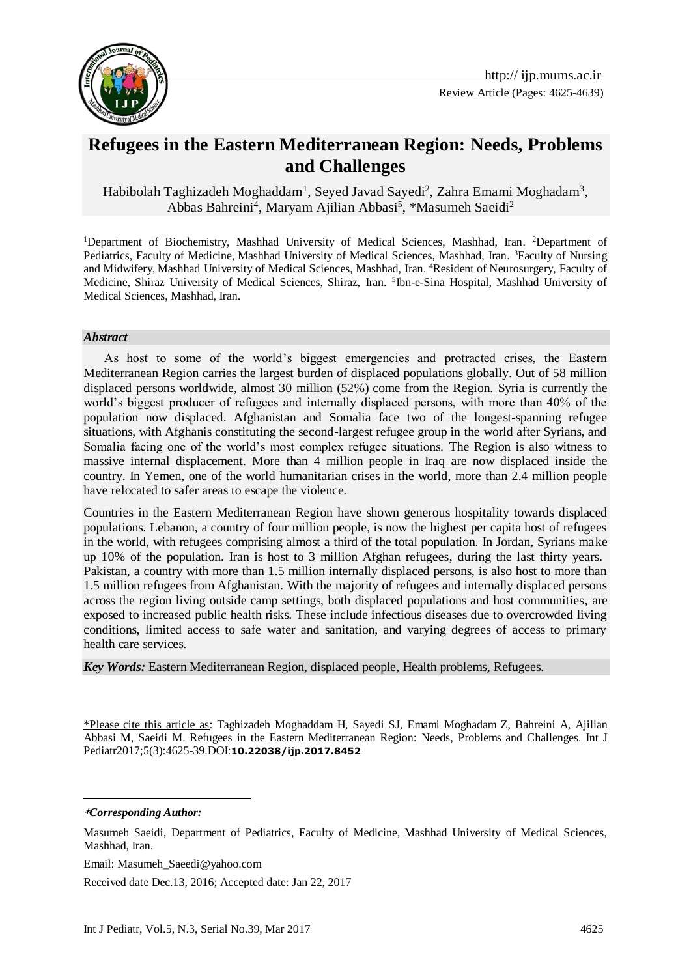

# **Refugees in the Eastern Mediterranean Region: Needs, Problems and Challenges**

Habibolah Taghizadeh Moghaddam<sup>1</sup>, Seyed Javad Sayedi<sup>2</sup>, Zahra Emami Moghadam<sup>3</sup>, Abbas Bahreini<sup>4</sup>, Maryam Ajilian Abbasi<sup>5</sup>, \*Masumeh Saeidi<sup>2</sup>

<sup>1</sup>Department of Biochemistry, Mashhad University of Medical Sciences, Mashhad, Iran. <sup>2</sup>Department of Pediatrics, Faculty of Medicine, Mashhad University of Medical Sciences, Mashhad, Iran. <sup>3</sup>Faculty of Nursing and Midwifery, Mashhad University of Medical Sciences, Mashhad, Iran. <sup>4</sup>Resident of Neurosurgery, Faculty of Medicine, Shiraz University of Medical Sciences, Shiraz, Iran. 5Ibn-e-Sina Hospital, Mashhad University of Medical Sciences, Mashhad, Iran.

#### *Abstract*

 As host to some of the world's biggest emergencies and protracted crises, the Eastern Mediterranean Region carries the largest burden of displaced populations globally. Out of 58 million displaced persons worldwide, almost 30 million (52%) come from the Region. Syria is currently the world's biggest producer of refugees and internally displaced persons, with more than 40% of the population now displaced. Afghanistan and Somalia face two of the longest-spanning refugee situations, with Afghanis constituting the second-largest refugee group in the world after Syrians, and Somalia facing one of the world's most complex refugee situations. The Region is also witness to massive internal displacement. More than 4 million people in Iraq are now displaced inside the country. In Yemen, one of the world humanitarian crises in the world, more than 2.4 million people have relocated to safer areas to escape the violence.

Countries in the Eastern Mediterranean Region have shown generous hospitality towards displaced populations. Lebanon, a country of four million people, is now the highest per capita host of refugees in the world, with refugees comprising almost a third of the total population. In Jordan, Syrians make up 10% of the population. Iran is host to 3 million Afghan refugees, during the last thirty years. Pakistan, a country with more than 1.5 million internally displaced persons, is also host to more than 1.5 million refugees from Afghanistan. With the majority of refugees and internally displaced persons across the region living outside camp settings, both displaced populations and host communities, are exposed to increased public health risks. These include infectious diseases due to overcrowded living conditions, limited access to safe water and sanitation, and varying degrees of access to primary health care services.

*Key Words:* Eastern Mediterranean Region, displaced people, Health problems, Refugees.

\*Please cite this article as: Taghizadeh Moghaddam H, Sayedi SJ, Emami Moghadam Z, Bahreini A, Ajilian Abbasi M, Saeidi M. Refugees in the Eastern Mediterranean Region: Needs, Problems and Challenges. Int J Pediatr2017;5(3):4625-39.DOI:**10.22038/ijp.2017.8452**

**\****Corresponding Author:*

<u>.</u>

Email: Masumeh\_Saeedi@yahoo.com

Received date Dec.13, 2016; Accepted date: Jan 22, 2017

Masumeh Saeidi, Department of Pediatrics, Faculty of Medicine, Mashhad University of Medical Sciences, Mashhad, Iran.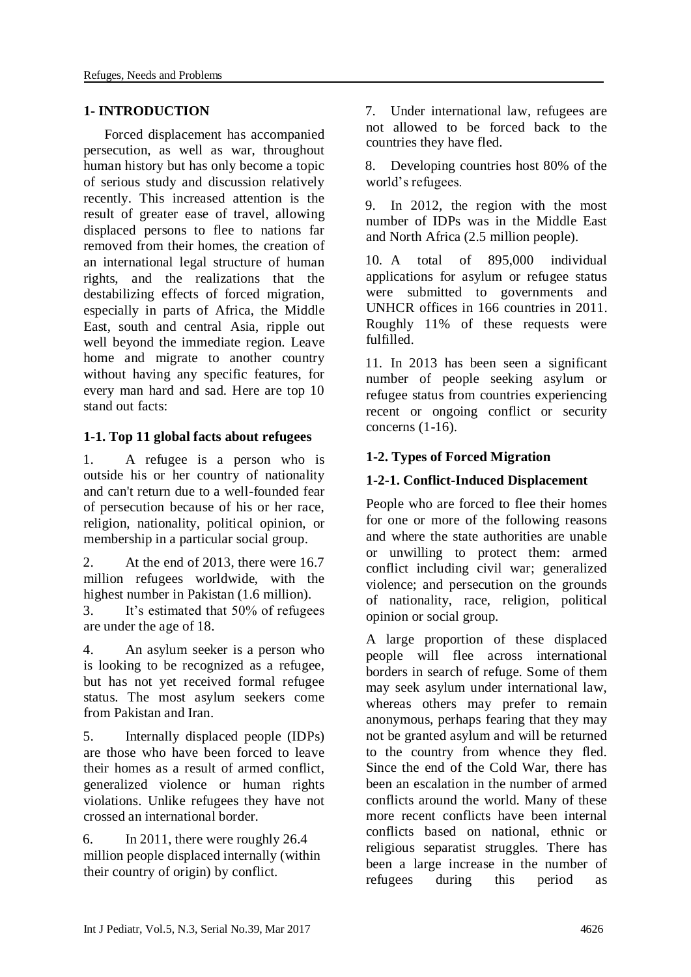#### **1- INTRODUCTION**

 Forced displacement has accompanied persecution, as well as war, throughout human history but has only become a topic of serious study and discussion relatively recently. This increased attention is the result of greater ease of travel, allowing displaced persons to flee to nations far removed from their homes, the creation of an international legal structure of human rights, and the realizations that the destabilizing effects of forced migration, especially in parts of [Africa,](https://en.wikipedia.org/wiki/Africa) the [Middle](https://en.wikipedia.org/wiki/Middle_East)  [East,](https://en.wikipedia.org/wiki/Middle_East) south and central [Asia,](https://en.wikipedia.org/wiki/Asia) ripple out well beyond the immediate region. Leave home and migrate to another country without having any specific features, for every man hard and sad. Here are top 10 stand out facts:

### **1-1. Top 11 global facts about refugees**

1. A refugee is a person who is outside his or her country of nationality and can't return due to a well-founded fear of persecution because of his or her race, religion, nationality, political opinion, or membership in a particular social group.

2. At the end of 2013, there were 16.7 million refugees worldwide, with the highest number in Pakistan (1.6 million).

3. It's estimated that 50% of refugees are under the age of 18.

4. An asylum seeker is a person who is looking to be recognized as a refugee, but has not yet received formal refugee status. The most asylum seekers come from Pakistan and Iran.

5. Internally displaced people (IDPs) are those who have been forced to leave their homes as a result of armed conflict, generalized violence or human rights violations. Unlike refugees they have not crossed an international border.

6. In 2011, there were roughly 26.4 million people displaced internally (within their country of origin) by conflict.

7. Under international law, refugees are not allowed to be forced back to the countries they have fled.

8. Developing countries host 80% of the world's refugees.

9. In 2012, the region with the most number of IDPs was in the Middle East and North Africa (2.5 million people).

10. A total of 895,000 individual applications for asylum or refugee status were submitted to governments and UNHCR offices in 166 countries in 2011. Roughly 11% of these requests were fulfilled.

11. In 2013 has been seen a significant number of people seeking asylum or refugee status from countries experiencing recent or ongoing conflict or security concerns (1-16).

### **1-2. Types of Forced Migration**

#### **1-2-1. Conflict-Induced Displacement**

People who are forced to flee their homes for one or more of the following reasons and where the state authorities are unable or unwilling to protect them: armed conflict including civil war; generalized violence; and persecution on the grounds of nationality, race, religion, political opinion or social group.

A large proportion of these displaced people will flee across international borders in search of refuge. Some of them may seek asylum under international law, whereas others may prefer to remain anonymous, perhaps fearing that they may not be granted asylum and will be returned to the country from whence they fled. Since the end of the Cold War, there has been an escalation in the number of armed conflicts around the world. Many of these more recent conflicts have been internal conflicts based on national, ethnic or religious separatist struggles. There has been a large increase in the number of refugees during this period as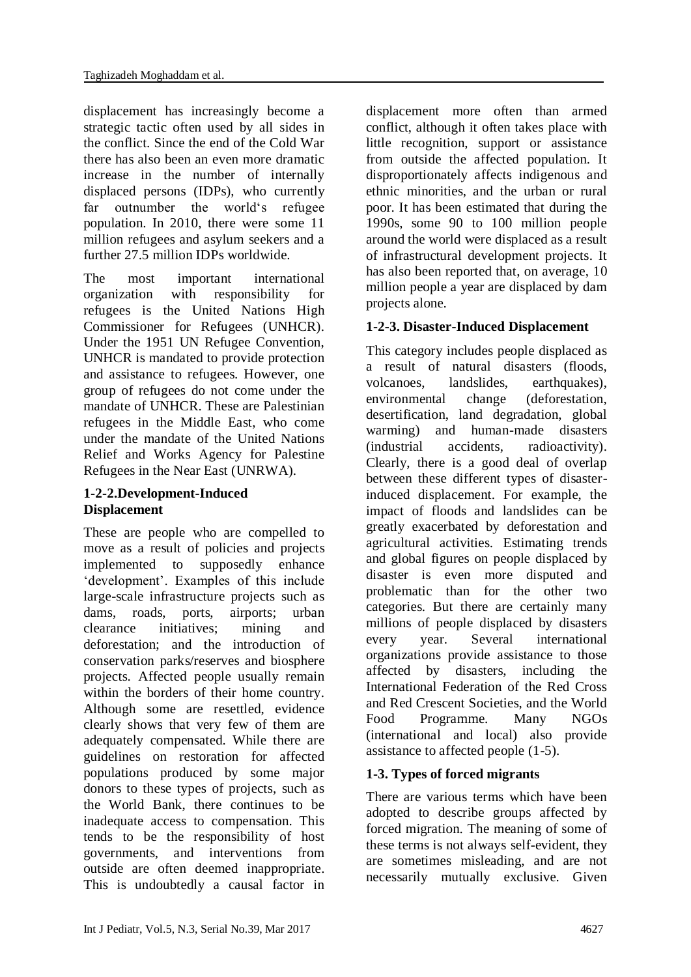displacement has increasingly become a strategic tactic often used by all sides in the conflict. Since the end of the Cold War there has also been an even more dramatic increase in the number of internally displaced persons (IDPs), who currently far outnumber the world's refugee population. In 2010, there were some 11 million refugees and asylum seekers and a further 27.5 million IDPs worldwide.

The most important international organization with responsibility for refugees is the United Nations High Commissioner for Refugees (UNHCR). Under the 1951 UN Refugee Convention, UNHCR is mandated to provide protection and assistance to refugees. However, one group of refugees do not come under the mandate of UNHCR. These are Palestinian refugees in the Middle East, who come under the mandate of the United Nations Relief and Works Agency for Palestine Refugees in the Near East (UNRWA).

### **1-2-2.Development-Induced Displacement**

These are people who are compelled to move as a result of policies and projects implemented to supposedly enhance 'development'. Examples of this include large-scale infrastructure projects such as dams, roads, ports, airports; urban clearance initiatives; mining and deforestation; and the introduction of conservation parks/reserves and biosphere projects. Affected people usually remain within the borders of their home country. Although some are resettled, evidence clearly shows that very few of them are adequately compensated. While there are guidelines on restoration for affected populations produced by some major donors to these types of projects, such as the World Bank, there continues to be inadequate access to compensation. This tends to be the responsibility of host governments, and interventions from outside are often deemed inappropriate. This is undoubtedly a causal factor in

displacement more often than armed conflict, although it often takes place with little recognition, support or assistance from outside the affected population. It disproportionately affects indigenous and ethnic minorities, and the urban or rural poor. It has been estimated that during the 1990s, some 90 to 100 million people around the world were displaced as a result of infrastructural development projects. It has also been reported that, on average, 10 million people a year are displaced by dam projects alone.

# **1-2-3. Disaster-Induced Displacement**

This category includes people displaced as a result of natural disasters (floods, volcanoes, landslides, earthquakes), environmental change (deforestation, desertification, land degradation, global warming) and human-made disasters (industrial accidents, radioactivity). Clearly, there is a good deal of overlap between these different types of disasterinduced displacement. For example, the impact of floods and landslides can be greatly exacerbated by deforestation and agricultural activities. Estimating trends and global figures on people displaced by disaster is even more disputed and problematic than for the other two categories. But there are certainly many millions of people displaced by disasters every year. Several international organizations provide assistance to those affected by disasters, including the International Federation of the Red Cross and Red Crescent Societies, and the World Food Programme. Many NGOs (international and local) also provide assistance to affected people (1-5).

# **1-3. Types of forced migrants**

There are various terms which have been adopted to describe groups affected by forced migration. The meaning of some of these terms is not always self-evident, they are sometimes misleading, and are not necessarily mutually exclusive. Given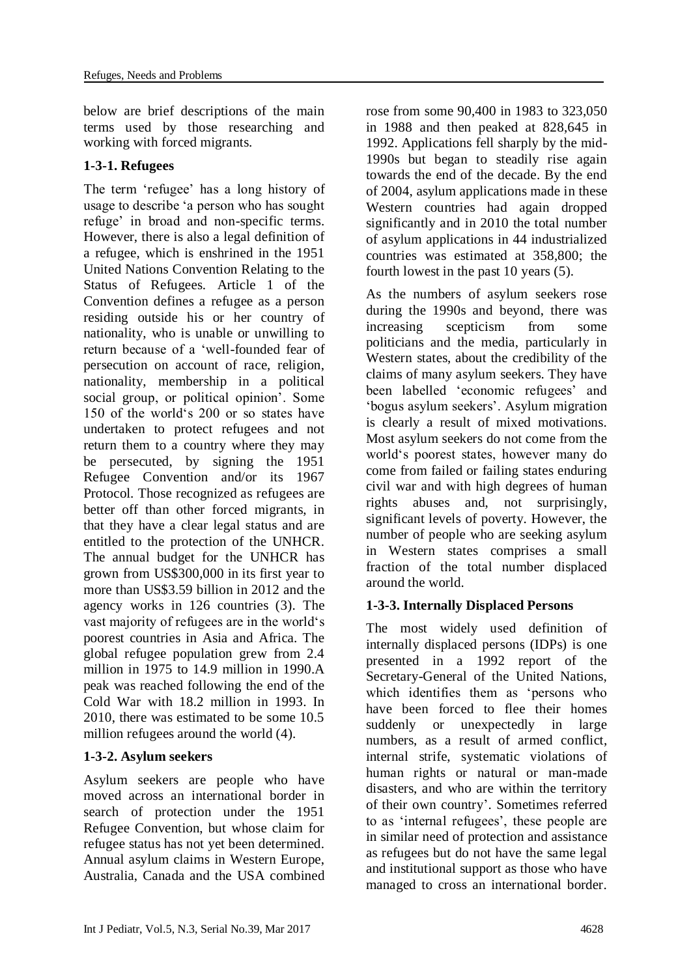below are brief descriptions of the main terms used by those researching and working with forced migrants.

# **1-3-1. Refugees**

The term 'refugee' has a long history of usage to describe 'a person who has sought refuge' in broad and non-specific terms. However, there is also a legal definition of a refugee, which is enshrined in the 1951 United Nations Convention Relating to the Status of Refugees. Article 1 of the Convention defines a refugee as a person residing outside his or her country of nationality, who is unable or unwilling to return because of a 'well-founded fear of persecution on account of race, religion, nationality, membership in a political social group, or political opinion'. Some 150 of the world's 200 or so states have undertaken to protect refugees and not return them to a country where they may be persecuted, by signing the 1951 Refugee Convention and/or its 1967 Protocol. Those recognized as refugees are better off than other forced migrants, in that they have a clear legal status and are entitled to the protection of the UNHCR. The annual budget for the UNHCR has grown from US\$300,000 in its first year to more than US\$3.59 billion in 2012 and the agency works in 126 countries (3). The vast majority of refugees are in the world's poorest countries in Asia and Africa. The global refugee population grew from 2.4 million in 1975 to 14.9 million in 1990.A peak was reached following the end of the Cold War with 18.2 million in 1993. In 2010, there was estimated to be some 10.5 million refugees around the world (4).

# **1-3-2. Asylum seekers**

Asylum seekers are people who have moved across an international border in search of protection under the 1951 Refugee Convention, but whose claim for refugee status has not yet been determined. Annual asylum claims in Western Europe, Australia, Canada and the USA combined rose from some 90,400 in 1983 to 323,050 in 1988 and then peaked at 828,645 in 1992. Applications fell sharply by the mid-1990s but began to steadily rise again towards the end of the decade. By the end of 2004, asylum applications made in these Western countries had again dropped significantly and in 2010 the total number of asylum applications in 44 industrialized countries was estimated at 358,800; the fourth lowest in the past 10 years (5).

As the numbers of asylum seekers rose during the 1990s and beyond, there was increasing scepticism from some politicians and the media, particularly in Western states, about the credibility of the claims of many asylum seekers. They have been labelled 'economic refugees' and 'bogus asylum seekers'. Asylum migration is clearly a result of mixed motivations. Most asylum seekers do not come from the world's poorest states, however many do come from failed or failing states enduring civil war and with high degrees of human rights abuses and, not surprisingly, significant levels of poverty. However, the number of people who are seeking asylum in Western states comprises a small fraction of the total number displaced around the world.

### **1-3-3. Internally Displaced Persons**

The most widely used definition of internally displaced persons (IDPs) is one presented in a 1992 report of the Secretary-General of the United Nations, which identifies them as 'persons who have been forced to flee their homes suddenly or unexpectedly in large numbers, as a result of armed conflict, internal strife, systematic violations of human rights or natural or man-made disasters, and who are within the territory of their own country'. Sometimes referred to as 'internal refugees', these people are in similar need of protection and assistance as refugees but do not have the same legal and institutional support as those who have managed to cross an international border.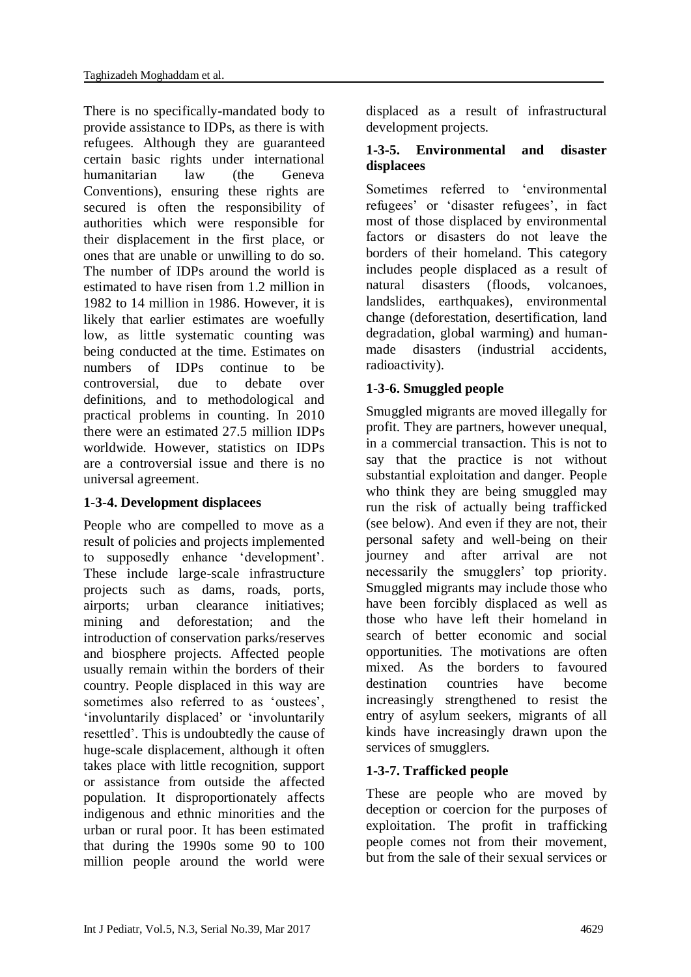There is no specifically-mandated body to provide assistance to IDPs, as there is with refugees. Although they are guaranteed certain basic rights under international humanitarian law (the Geneva Conventions), ensuring these rights are secured is often the responsibility of authorities which were responsible for their displacement in the first place, or ones that are unable or unwilling to do so. The number of IDPs around the world is estimated to have risen from 1.2 million in 1982 to 14 million in 1986. However, it is likely that earlier estimates are woefully low, as little systematic counting was being conducted at the time. Estimates on<br>numbers of IDPs continue to be of IDPs continue to be controversial, due to debate over definitions, and to methodological and practical problems in counting. In 2010 there were an estimated 27.5 million IDPs worldwide. However, statistics on IDPs are a controversial issue and there is no universal agreement.

### **1-3-4. Development displacees**

People who are compelled to move as a result of policies and projects implemented to supposedly enhance 'development'. These include large-scale infrastructure projects such as dams, roads, ports, airports; urban clearance initiatives; mining and deforestation; and the introduction of conservation parks/reserves and biosphere projects. Affected people usually remain within the borders of their country. People displaced in this way are sometimes also referred to as 'oustees', 'involuntarily displaced' or 'involuntarily resettled'. This is undoubtedly the cause of huge-scale displacement, although it often takes place with little recognition, support or assistance from outside the affected population. It disproportionately affects indigenous and ethnic minorities and the urban or rural poor. It has been estimated that during the 1990s some 90 to 100 million people around the world were

displaced as a result of infrastructural development projects.

#### **1-3-5. Environmental and disaster displacees**

Sometimes referred to 'environmental refugees' or 'disaster refugees', in fact most of those displaced by environmental factors or disasters do not leave the borders of their homeland. This category includes people displaced as a result of natural disasters (floods, volcanoes, landslides, earthquakes), environmental change (deforestation, desertification, land degradation, global warming) and humanmade disasters (industrial accidents, radioactivity).

# **1-3-6. Smuggled people**

Smuggled migrants are moved illegally for profit. They are partners, however unequal, in a commercial transaction. This is not to say that the practice is not without substantial exploitation and danger. People who think they are being smuggled may run the risk of actually being trafficked (see below). And even if they are not, their personal safety and well-being on their journey and after arrival are not necessarily the smugglers' top priority. Smuggled migrants may include those who have been forcibly displaced as well as those who have left their homeland in search of better economic and social opportunities. The motivations are often mixed. As the borders to favoured destination countries have become increasingly strengthened to resist the entry of asylum seekers, migrants of all kinds have increasingly drawn upon the services of smugglers.

# **1-3-7. Trafficked people**

These are people who are moved by deception or coercion for the purposes of exploitation. The profit in trafficking people comes not from their movement, but from the sale of their sexual services or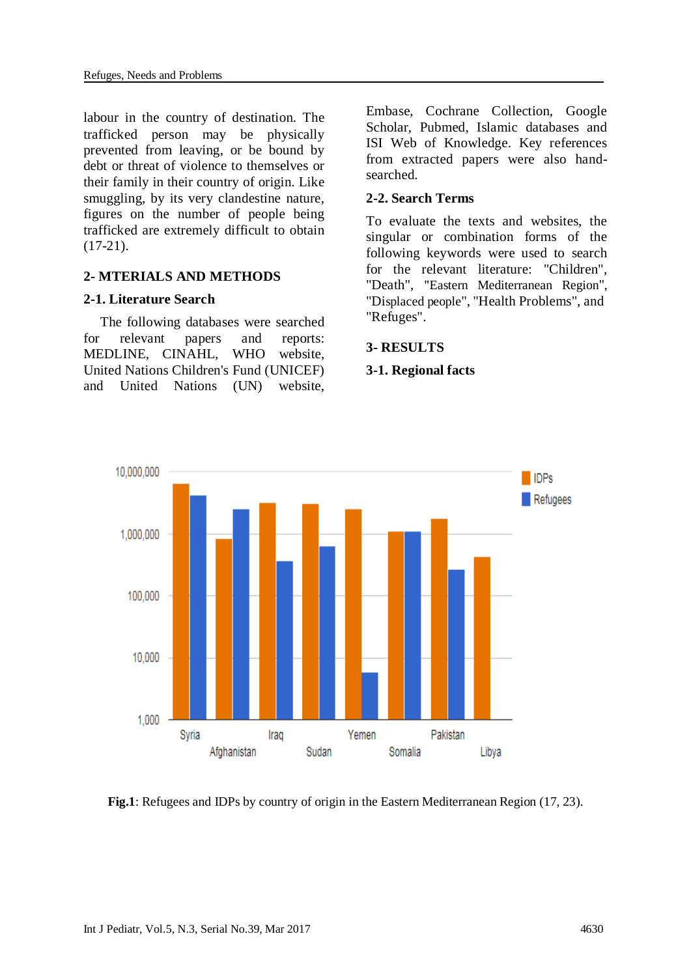labour in the country of destination. The trafficked person may be physically prevented from leaving, or be bound by debt or threat of violence to themselves or their family in their country of origin. Like smuggling, by its very clandestine nature, figures on the number of people being trafficked are extremely difficult to obtain (17-21).

#### **2- MTERIALS AND METHODS**

#### **2-1. Literature Search**

The following databases were searched for relevant papers and reports: MEDLINE, CINAHL, WHO website, United Nations Children's Fund (UNICEF) and United Nations (UN) website,

Embase, Cochrane Collection, Google Scholar, Pubmed, Islamic databases and ISI Web of Knowledge. Key references from extracted papers were also handsearched.

#### **2-2. Search Terms**

To evaluate the texts and websites, the singular or combination forms of the following keywords were used to search for the relevant literature: "Children", "Death", "Eastern Mediterranean Region", "Displaced people", "Health Problems", and "Refuges".

#### **3- RESULTS**

#### **3-1. Regional facts**



#### **Fig.1**: Refugees and IDPs by country of origin in the Eastern Mediterranean Region (17, 23).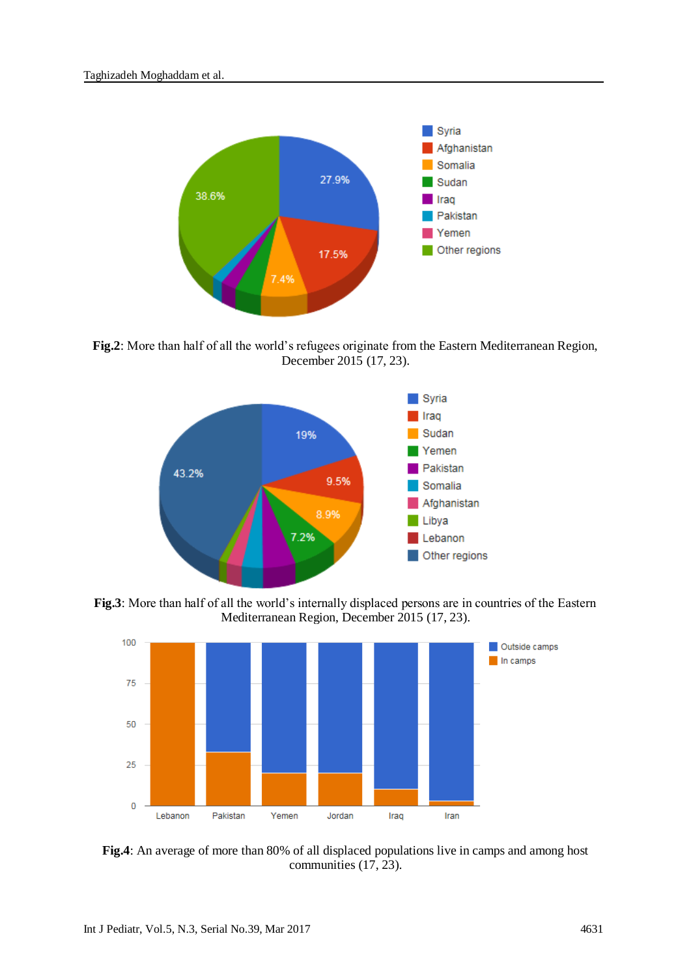

**Fig.2**: More than half of all the world's refugees originate from the Eastern Mediterranean Region, December 2015 (17, 23).



**Fig.3**: More than half of all the world's internally displaced persons are in countries of the Eastern Mediterranean Region, December 2015 (17, 23).



**Fig.4**: An average of more than 80% of all displaced populations live in camps and among host communities (17, 23).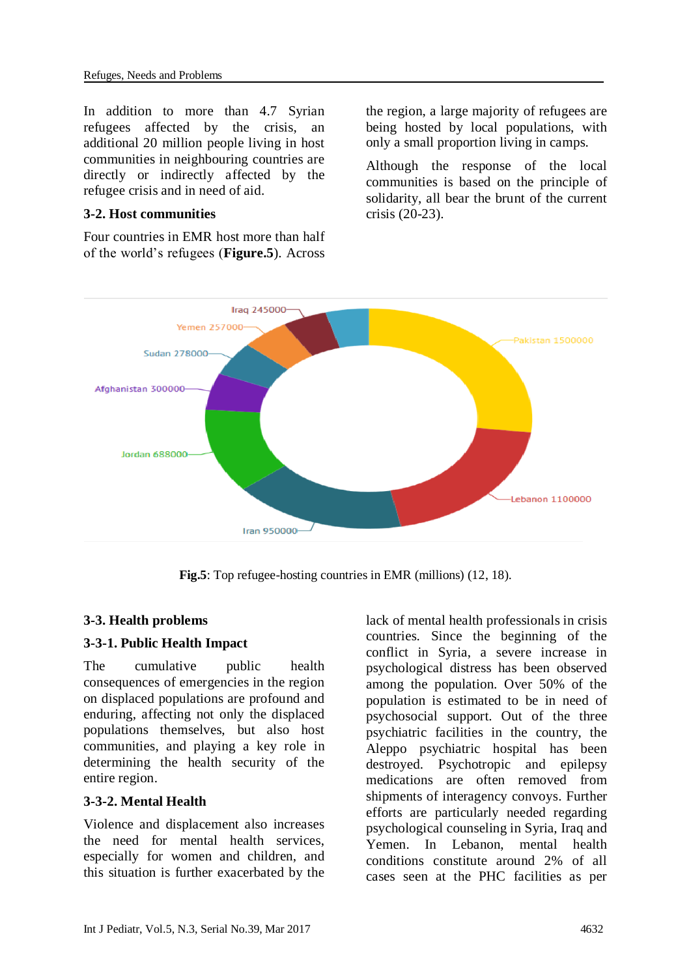In addition to more than 4.7 Syrian refugees affected by the crisis, an additional 20 million people living in host communities in neighbouring countries are directly or indirectly affected by the refugee crisis and in need of aid.

#### **3-2. Host communities**

Four countries in EMR host more than half of the world's refugees (**Figure.5**). Across the region, a large majority of refugees are being hosted by local populations, with only a small proportion living in camps.

Although the response of the local communities is based on the principle of solidarity, all bear the brunt of the current crisis (20-23).



**Fig.5**: Top refugee-hosting countries in EMR (millions) (12, 18).

### **3-3. Health problems**

#### **3-3-1. Public Health Impact**

The cumulative public health consequences of emergencies in the region on displaced populations are profound and enduring, affecting not only the displaced populations themselves, but also host communities, and playing a key role in determining the health security of the entire region.

#### **3-3-2. Mental Health**

Violence and displacement also increases the need for mental health services, especially for women and children, and this situation is further exacerbated by the lack of mental health professionals in crisis countries. Since the beginning of the conflict in Syria, a severe increase in psychological distress has been observed among the population. Over 50% of the population is estimated to be in need of psychosocial support. Out of the three psychiatric facilities in the country, the Aleppo psychiatric hospital has been destroyed. Psychotropic and epilepsy medications are often removed from shipments of interagency convoys. Further efforts are particularly needed regarding psychological counseling in Syria, Iraq and Yemen. In Lebanon, mental health conditions constitute around 2% of all cases seen at the PHC facilities as per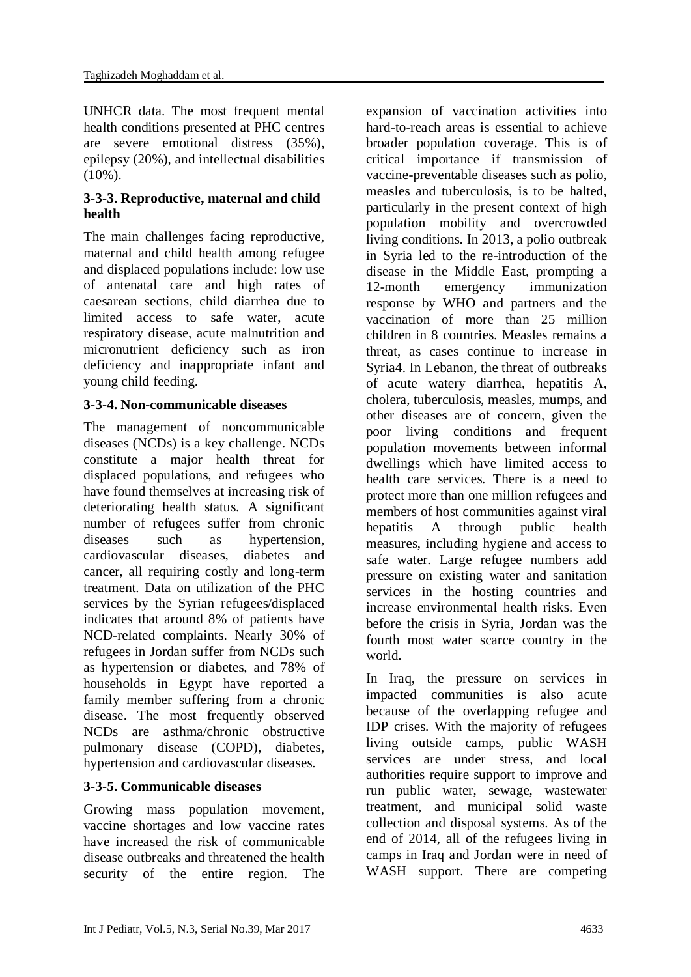UNHCR data. The most frequent mental health conditions presented at PHC centres are severe emotional distress (35%), epilepsy (20%), and intellectual disabilities (10%).

### **3-3-3. Reproductive, maternal and child health**

The main challenges facing reproductive, maternal and child health among refugee and displaced populations include: low use of antenatal care and high rates of caesarean sections, child diarrhea due to limited access to safe water, acute respiratory disease, acute malnutrition and micronutrient deficiency such as iron deficiency and inappropriate infant and young child feeding.

# **3-3-4. Non-communicable diseases**

The management of noncommunicable diseases (NCDs) is a key challenge. NCDs constitute a major health threat for displaced populations, and refugees who have found themselves at increasing risk of deteriorating health status. A significant number of refugees suffer from chronic diseases such as hypertension, cardiovascular diseases, diabetes and cancer, all requiring costly and long-term treatment. Data on utilization of the PHC services by the Syrian refugees/displaced indicates that around 8% of patients have NCD-related complaints. Nearly 30% of refugees in Jordan suffer from NCDs such as hypertension or diabetes, and 78% of households in Egypt have reported a family member suffering from a chronic disease. The most frequently observed NCDs are asthma/chronic obstructive pulmonary disease (COPD), diabetes, hypertension and cardiovascular diseases.

# **3-3-5. Communicable diseases**

Growing mass population movement, vaccine shortages and low vaccine rates have increased the risk of communicable disease outbreaks and threatened the health security of the entire region. The

expansion of vaccination activities into hard-to-reach areas is essential to achieve broader population coverage. This is of critical importance if transmission of vaccine-preventable diseases such as polio, measles and tuberculosis, is to be halted, particularly in the present context of high population mobility and overcrowded living conditions. In 2013, a polio outbreak in Syria led to the re-introduction of the disease in the Middle East, prompting a 12-month emergency immunization response by WHO and partners and the vaccination of more than 25 million children in 8 countries. Measles remains a threat, as cases continue to increase in Syria4. In Lebanon, the threat of outbreaks of acute watery diarrhea, hepatitis A, cholera, tuberculosis, measles, mumps, and other diseases are of concern, given the poor living conditions and frequent population movements between informal dwellings which have limited access to health care services. There is a need to protect more than one million refugees and members of host communities against viral hepatitis A through public health measures, including hygiene and access to safe water. Large refugee numbers add pressure on existing water and sanitation services in the hosting countries and increase environmental health risks. Even before the crisis in Syria, Jordan was the fourth most water scarce country in the world.

In Iraq, the pressure on services in impacted communities is also acute because of the overlapping refugee and IDP crises. With the majority of refugees living outside camps, public WASH services are under stress, and local authorities require support to improve and run public water, sewage, wastewater treatment, and municipal solid waste collection and disposal systems. As of the end of 2014, all of the refugees living in camps in Iraq and Jordan were in need of WASH support. There are competing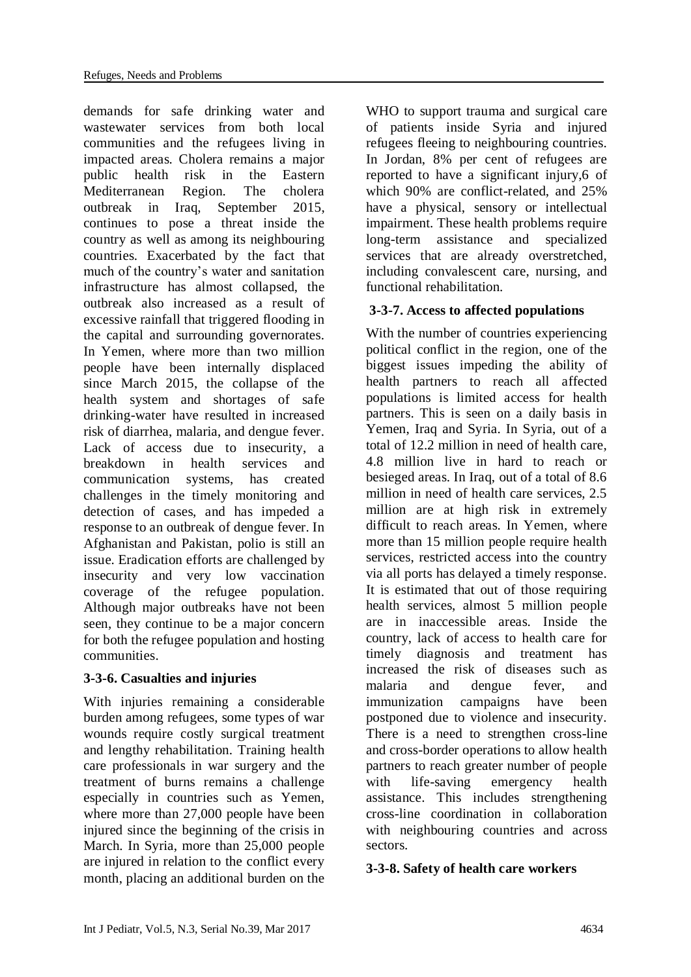demands for safe drinking water and wastewater services from both local communities and the refugees living in impacted areas. Cholera remains a major public health risk in the Eastern Mediterranean Region. The cholera outbreak in Iraq, September 2015, continues to pose a threat inside the country as well as among its neighbouring countries. Exacerbated by the fact that much of the country's water and sanitation infrastructure has almost collapsed, the outbreak also increased as a result of excessive rainfall that triggered flooding in the capital and surrounding governorates. In Yemen, where more than two million people have been internally displaced since March 2015, the collapse of the health system and shortages of safe drinking-water have resulted in increased risk of diarrhea, malaria, and dengue fever. Lack of access due to insecurity, a breakdown in health services and communication systems, has created challenges in the timely monitoring and detection of cases, and has impeded a response to an outbreak of dengue fever. In Afghanistan and Pakistan, polio is still an issue. Eradication efforts are challenged by insecurity and very low vaccination coverage of the refugee population. Although major outbreaks have not been seen, they continue to be a major concern for both the refugee population and hosting communities.

# **3-3-6. Casualties and injuries**

With injuries remaining a considerable burden among refugees, some types of war wounds require costly surgical treatment and lengthy rehabilitation. Training health care professionals in war surgery and the treatment of burns remains a challenge especially in countries such as Yemen, where more than 27,000 people have been injured since the beginning of the crisis in March. In Syria, more than 25,000 people are injured in relation to the conflict every month, placing an additional burden on the WHO to support trauma and surgical care of patients inside Syria and injured refugees fleeing to neighbouring countries. In Jordan, 8% per cent of refugees are reported to have a significant injury,6 of which 90% are conflict-related, and 25% have a physical, sensory or intellectual impairment. These health problems require long-term assistance and specialized services that are already overstretched, including convalescent care, nursing, and functional rehabilitation.

# **3-3-7. Access to affected populations**

With the number of countries experiencing political conflict in the region, one of the biggest issues impeding the ability of health partners to reach all affected populations is limited access for health partners. This is seen on a daily basis in Yemen, Iraq and Syria. In Syria, out of a total of 12.2 million in need of health care, 4.8 million live in hard to reach or besieged areas. In Iraq, out of a total of 8.6 million in need of health care services, 2.5 million are at high risk in extremely difficult to reach areas. In Yemen, where more than 15 million people require health services, restricted access into the country via all ports has delayed a timely response. It is estimated that out of those requiring health services, almost 5 million people are in inaccessible areas. Inside the country, lack of access to health care for timely diagnosis and treatment has increased the risk of diseases such as malaria and dengue fever, and immunization campaigns have been postponed due to violence and insecurity. There is a need to strengthen cross-line and cross-border operations to allow health partners to reach greater number of people with life-saving emergency health assistance. This includes strengthening cross-line coordination in collaboration with neighbouring countries and across sectors.

### **3-3-8. Safety of health care workers**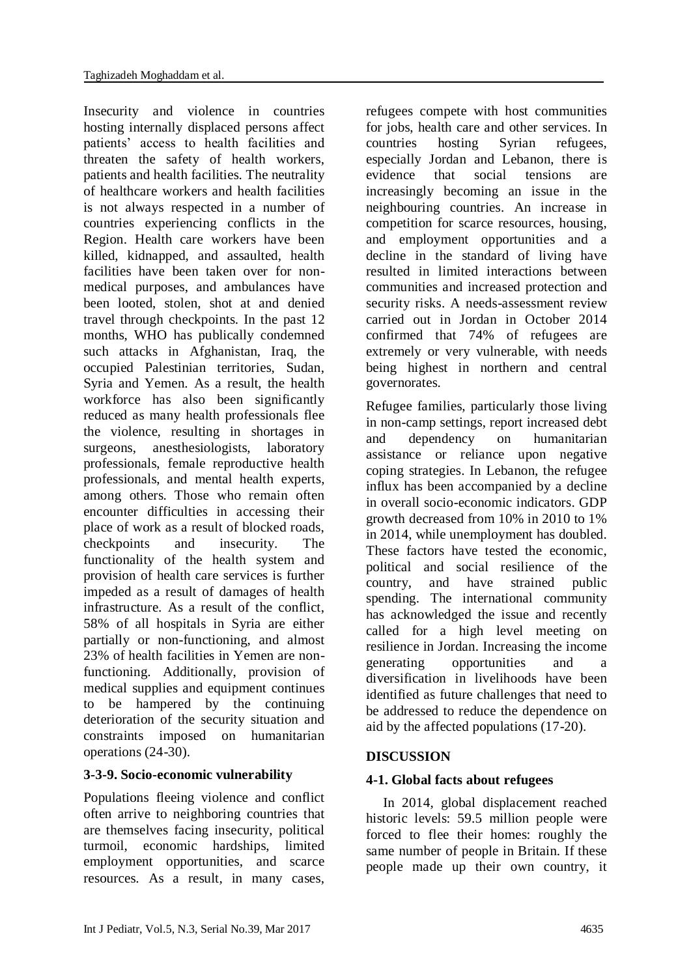Insecurity and violence in countries hosting internally displaced persons affect patients' access to health facilities and threaten the safety of health workers, patients and health facilities. The neutrality of healthcare workers and health facilities is not always respected in a number of countries experiencing conflicts in the Region. Health care workers have been killed, kidnapped, and assaulted, health facilities have been taken over for nonmedical purposes, and ambulances have been looted, stolen, shot at and denied travel through checkpoints. In the past 12 months, WHO has publically condemned such attacks in Afghanistan, Iraq, the occupied Palestinian territories, Sudan, Syria and Yemen. As a result, the health workforce has also been significantly reduced as many health professionals flee the violence, resulting in shortages in surgeons, anesthesiologists, laboratory professionals, female reproductive health professionals, and mental health experts, among others. Those who remain often encounter difficulties in accessing their place of work as a result of blocked roads, checkpoints and insecurity. The functionality of the health system and provision of health care services is further impeded as a result of damages of health infrastructure. As a result of the conflict, 58% of all hospitals in Syria are either partially or non-functioning, and almost 23% of health facilities in Yemen are nonfunctioning. Additionally, provision of medical supplies and equipment continues to be hampered by the continuing deterioration of the security situation and constraints imposed on humanitarian operations (24-30).

### **3-3-9. Socio-economic vulnerability**

Populations fleeing violence and conflict often arrive to neighboring countries that are themselves facing insecurity, political turmoil, economic hardships, limited employment opportunities, and scarce resources. As a result, in many cases,

refugees compete with host communities for jobs, health care and other services. In countries hosting Syrian refugees, especially Jordan and Lebanon, there is evidence that social tensions are increasingly becoming an issue in the neighbouring countries. An increase in competition for scarce resources, housing, and employment opportunities and a decline in the standard of living have resulted in limited interactions between communities and increased protection and security risks. A needs-assessment review carried out in Jordan in October 2014 confirmed that 74% of refugees are extremely or very vulnerable, with needs being highest in northern and central governorates.

Refugee families, particularly those living in non-camp settings, report increased debt and dependency on humanitarian assistance or reliance upon negative coping strategies. In Lebanon, the refugee influx has been accompanied by a decline in overall socio-economic indicators. GDP growth decreased from 10% in 2010 to 1% in 2014, while unemployment has doubled. These factors have tested the economic, political and social resilience of the country, and have strained public spending. The international community has acknowledged the issue and recently called for a high level meeting on resilience in Jordan. Increasing the income generating opportunities and a diversification in livelihoods have been identified as future challenges that need to be addressed to reduce the dependence on aid by the affected populations (17-20).

### **DISCUSSION**

### **4-1. Global facts about refugees**

 In 2014, global displacement reached historic levels: 59.5 million people were forced to flee their homes: roughly the same number of people in Britain. If these people made up their own country, it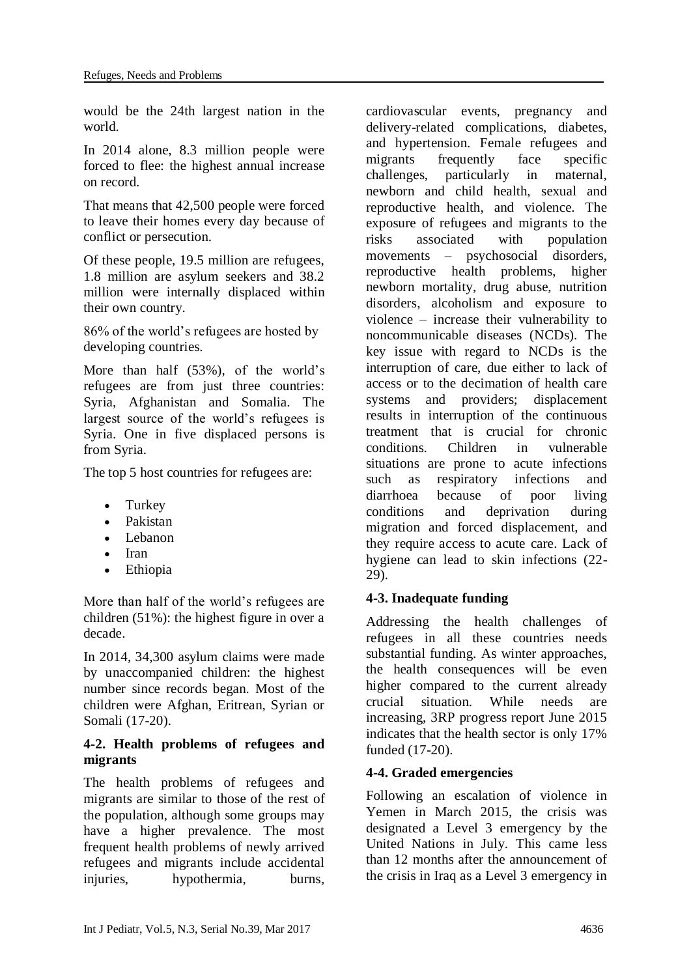would be the 24th largest nation in the world.

In 2014 alone, 8.3 million people were forced to flee: the highest annual increase on record.

That means that 42,500 people were forced to leave their homes every day because of conflict or persecution.

Of these people, 19.5 million are refugees, 1.8 million are asylum seekers and 38.2 million were internally displaced within their own country.

86% of the world's refugees are hosted by developing countries.

More than half (53%), of the world's refugees are from just three countries: Syria, Afghanistan and Somalia. The largest source of the world's refugees is Syria. One in five displaced persons is from Syria.

The top 5 host countries for refugees are:

- Turkey
- Pakistan
- Lebanon
- Iran
- Ethiopia

More than half of the world's refugees are children (51%): the highest figure in over a decade.

In 2014, 34,300 asylum claims were made by unaccompanied children: the highest number since records began. Most of the children were Afghan, Eritrean, Syrian or Somali (17-20).

#### **4-2. Health problems of refugees and migrants**

The health problems of refugees and migrants are similar to those of the rest of the population, although some groups may have a higher prevalence. The most frequent health problems of newly arrived refugees and migrants include accidental injuries, hypothermia, burns,

cardiovascular events, pregnancy and delivery-related complications, diabetes, and hypertension. Female refugees and migrants frequently face specific challenges, particularly in maternal, newborn and child health, sexual and reproductive health, and violence. The exposure of refugees and migrants to the risks associated with population movements – psychosocial disorders, reproductive health problems, higher newborn mortality, drug abuse, nutrition disorders, alcoholism and exposure to violence – increase their vulnerability to noncommunicable diseases (NCDs). The key issue with regard to NCDs is the interruption of care, due either to lack of access or to the decimation of health care systems and providers; displacement results in interruption of the continuous treatment that is crucial for chronic conditions. Children in vulnerable situations are prone to acute infections such as respiratory infections and diarrhoea because of poor living conditions and deprivation during migration and forced displacement, and they require access to acute care. Lack of hygiene can lead to skin infections (22- 29).

### **4-3. Inadequate funding**

Addressing the health challenges of refugees in all these countries needs substantial funding. As winter approaches, the health consequences will be even higher compared to the current already crucial situation. While needs are increasing, 3RP progress report June 2015 indicates that the health sector is only 17% funded (17-20).

### **4-4. Graded emergencies**

Following an escalation of violence in Yemen in March 2015, the crisis was designated a Level 3 emergency by the United Nations in July. This came less than 12 months after the announcement of the crisis in Iraq as a Level 3 emergency in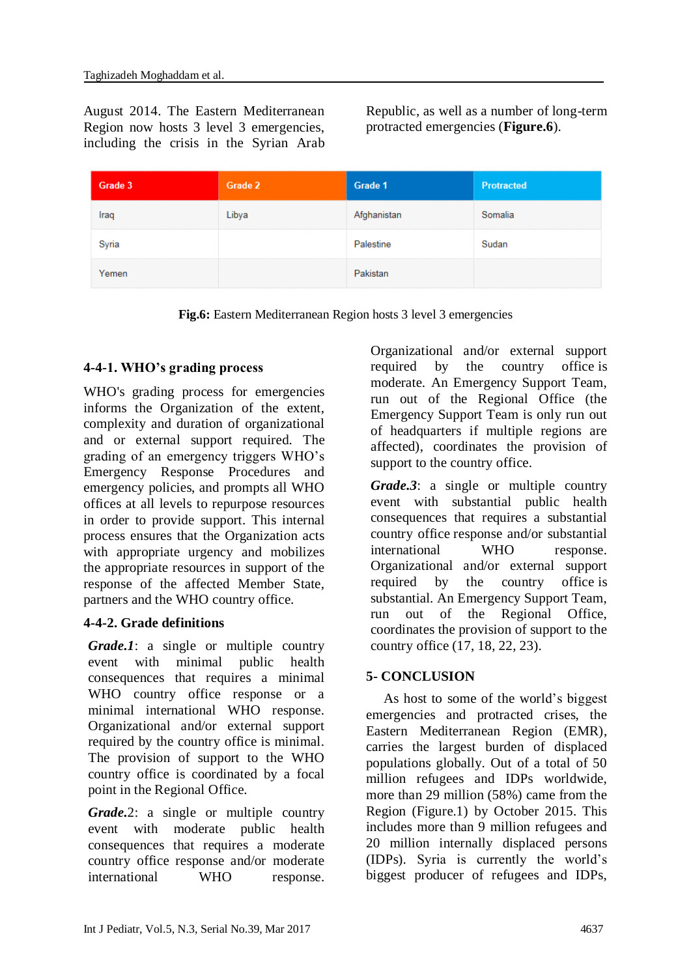August 2014. The Eastern Mediterranean Region now hosts 3 level 3 emergencies, including the crisis in the Syrian Arab Republic, as well as a number of long-term protracted emergencies (**Figure.6**).

| Grade 3 | Grade 2 | Grade 1     | <b>Protracted</b> |
|---------|---------|-------------|-------------------|
| Iraq    | Libya   | Afghanistan | Somalia           |
| Syria   |         | Palestine   | Sudan             |
| Yemen   |         | Pakistan    |                   |

**Fig.6:** Eastern Mediterranean Region hosts 3 level 3 emergencies

# **4-4-1. WHO's grading process**

WHO's grading process for emergencies informs the Organization of the extent, complexity and duration of organizational and or external support required. The grading of an emergency triggers WHO's Emergency Response Procedures and emergency policies, and prompts all WHO offices at all levels to repurpose resources in order to provide support. This internal process ensures that the Organization acts with appropriate urgency and mobilizes the appropriate resources in support of the response of the affected Member State, partners and the WHO country office.

### **4-4-2. Grade definitions**

*Grade.1*: a single or multiple country event with minimal public health consequences that requires a minimal WHO country office response or a minimal international WHO response. Organizational and/or external support required by the country office is minimal. The provision of support to the WHO country office is coordinated by a focal point in the Regional Office.

*Grade.*2: a single or multiple country event with moderate public health consequences that requires a moderate country office response and/or moderate international WHO response. Organizational and/or external support required by the country office is moderate. An Emergency Support Team, run out of the Regional Office (the Emergency Support Team is only run out of headquarters if multiple regions are affected), coordinates the provision of support to the country office.

*Grade.3*: a single or multiple country event with substantial public health consequences that requires a substantial country office response and/or substantial international WHO response. Organizational and/or external support required by the country office is substantial. An Emergency Support Team, run out of the Regional Office, coordinates the provision of support to the country office (17, 18, 22, 23).

# **5- CONCLUSION**

 As host to some of the world's biggest emergencies and protracted crises, the Eastern Mediterranean Region (EMR), carries the largest burden of displaced populations globally. Out of a total of 50 million refugees and IDPs worldwide, more than 29 million (58%) came from the Region (Figure.1) by October 2015. This includes more than 9 million refugees and 20 million internally displaced persons (IDPs). Syria is currently the world's biggest producer of refugees and IDPs,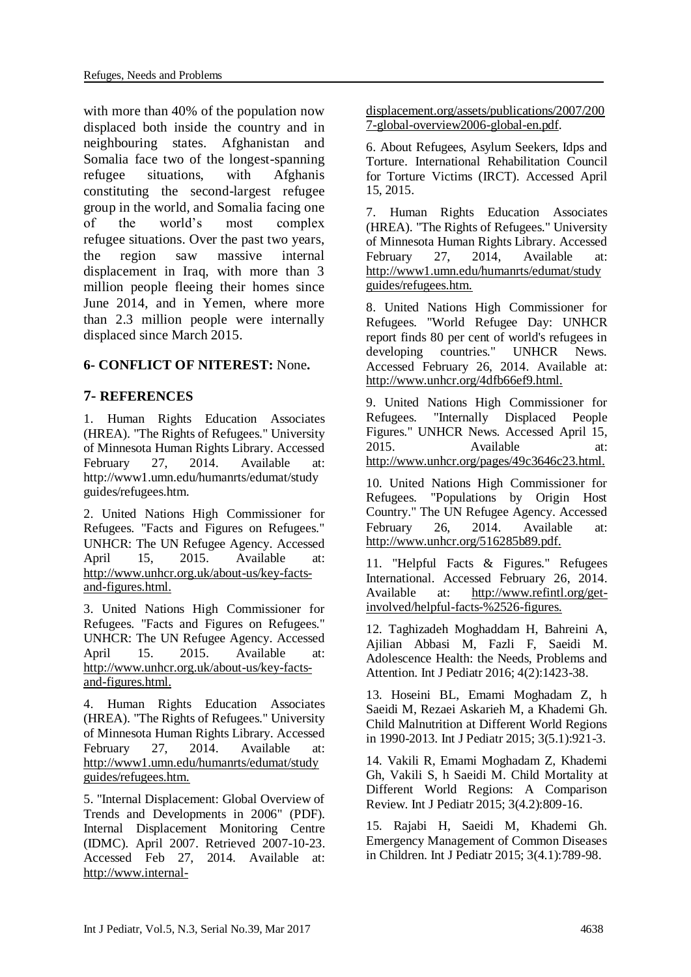with more than 40% of the population now displaced both inside the country and in neighbouring states. Afghanistan and Somalia face two of the longest-spanning refugee situations, with Afghanis constituting the second-largest refugee group in the world, and Somalia facing one of the world's most complex refugee situations. Over the past two years, the region saw massive internal displacement in Iraq, with more than 3 million people fleeing their homes since June 2014, and in Yemen, where more than 2.3 million people were internally displaced since March 2015.

### **6- CONFLICT OF NITEREST:** None**.**

#### **7- REFERENCES**

1. Human Rights Education Associates (HREA). "The Rights of Refugees." University of Minnesota Human Rights Library. Accessed February 27, 2014. Available at: http://www1.umn.edu/humanrts/edumat/study guides/refugees.htm.

2. United Nations High Commissioner for Refugees. "Facts and Figures on Refugees." UNHCR: The UN Refugee Agency. Accessed April 15, 2015. Available at: http://www.unhcr.org.uk/about-us/key-factsand-figures.html.

3. United Nations High Commissioner for Refugees. "Facts and Figures on Refugees." UNHCR: The UN Refugee Agency. Accessed April 15. 2015. Available at: http://www.unhcr.org.uk/about-us/key-factsand-figures.html.

4. Human Rights Education Associates (HREA). "The Rights of Refugees." University of Minnesota Human Rights Library. Accessed February 27, 2014. Available at: http://www1.umn.edu/humanrts/edumat/study guides/refugees.htm.

5. "Internal Displacement: Global Overview of Trends and Developments in 2006" (PDF). Internal Displacement Monitoring Centre (IDMC). April 2007. Retrieved 2007-10-23. Accessed Feb 27, 2014. Available at: http://www.internaldisplacement.org/assets/publications/2007/200 7-global-overview2006-global-en.pdf.

6. About Refugees, Asylum Seekers, Idps and Torture. International Rehabilitation Council for Torture Victims (IRCT). Accessed April 15, 2015.

7. Human Rights Education Associates (HREA). "The Rights of Refugees." University of Minnesota Human Rights Library. Accessed February 27, 2014, Available at: http://www1.umn.edu/humanrts/edumat/study guides/refugees.htm.

8. United Nations High Commissioner for Refugees. "World Refugee Day: UNHCR report finds 80 per cent of world's refugees in developing countries." UNHCR News. Accessed February 26, 2014. Available at: http://www.unhcr.org/4dfb66ef9.html.

9. United Nations High Commissioner for Refugees. "Internally Displaced People Figures." UNHCR News. Accessed April 15, 2015. Available at: http://www.unhcr.org/pages/49c3646c23.html.

10. United Nations High Commissioner for Refugees. "Populations by Origin Host Country." The UN Refugee Agency. Accessed February 26, 2014. Available at: http://www.unhcr.org/516285b89.pdf.

11. "Helpful Facts & Figures." Refugees International. Accessed February 26, 2014. Available at: http://www.refintl.org/getinvolved/helpful-facts-%2526-figures.

12. Taghizadeh Moghaddam H, Bahreini A, Ajilian Abbasi M, Fazli F, Saeidi M. Adolescence Health: the Needs, Problems and Attention. Int J Pediatr 2016; 4(2):1423-38.

13. Hoseini BL, Emami Moghadam Z, h Saeidi M, Rezaei Askarieh M, a Khademi Gh. Child Malnutrition at Different World Regions in 1990-2013. Int J Pediatr 2015; 3(5.1):921-3.

14. Vakili R, Emami Moghadam Z, Khademi Gh, Vakili S, h Saeidi M. Child Mortality at Different World Regions: A Comparison Review. Int J Pediatr 2015; 3(4.2):809-16.

15. Rajabi H, Saeidi M, Khademi Gh. Emergency Management of Common Diseases in Children. Int J Pediatr 2015; 3(4.1):789-98.